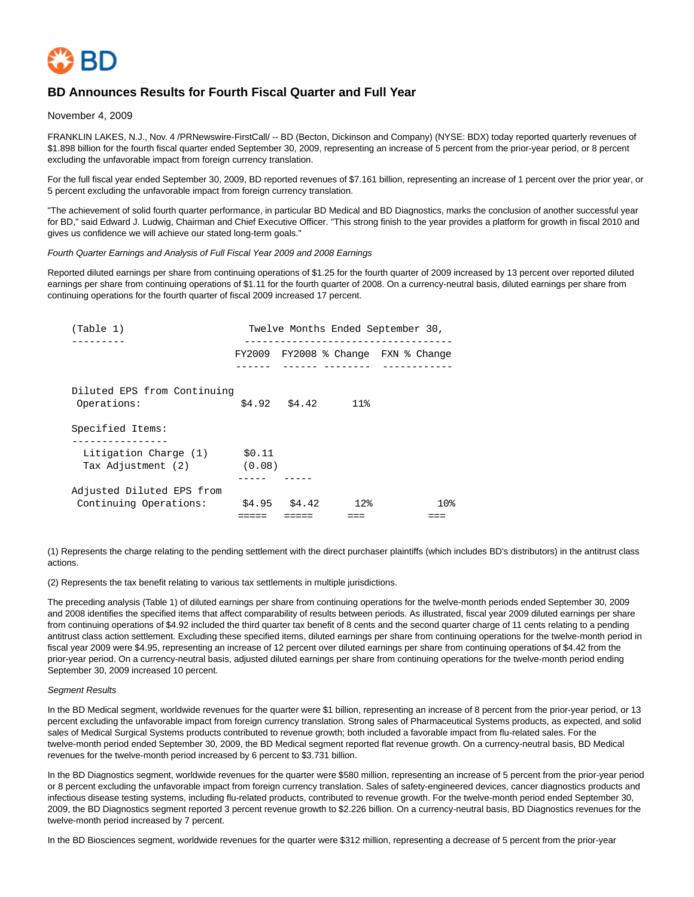

# **BD Announces Results for Fourth Fiscal Quarter and Full Year**

November 4, 2009

FRANKLIN LAKES, N.J., Nov. 4 /PRNewswire-FirstCall/ -- BD (Becton, Dickinson and Company) (NYSE: BDX) today reported quarterly revenues of \$1.898 billion for the fourth fiscal quarter ended September 30, 2009, representing an increase of 5 percent from the prior-year period, or 8 percent excluding the unfavorable impact from foreign currency translation.

For the full fiscal year ended September 30, 2009, BD reported revenues of \$7.161 billion, representing an increase of 1 percent over the prior year, or 5 percent excluding the unfavorable impact from foreign currency translation.

"The achievement of solid fourth quarter performance, in particular BD Medical and BD Diagnostics, marks the conclusion of another successful year for BD," said Edward J. Ludwig, Chairman and Chief Executive Officer. "This strong finish to the year provides a platform for growth in fiscal 2010 and gives us confidence we will achieve our stated long-term goals."

#### Fourth Quarter Earnings and Analysis of Full Fiscal Year 2009 and 2008 Earnings

Reported diluted earnings per share from continuing operations of \$1.25 for the fourth quarter of 2009 increased by 13 percent over reported diluted earnings per share from continuing operations of \$1.11 for the fourth quarter of 2008. On a currency-neutral basis, diluted earnings per share from continuing operations for the fourth quarter of fiscal 2009 increased 17 percent.

| (Table 1)                                           |                  |               |                        | Twelve Months Ended September 30,         |
|-----------------------------------------------------|------------------|---------------|------------------------|-------------------------------------------|
|                                                     |                  |               |                        | $FY2009$ $FY2008$ % Change $FXN$ % Change |
| Diluted EPS from Continuing<br>Operations:          |                  |               | $$4.92$ $$4.42$ $11\%$ |                                           |
| Specified Items:                                    |                  |               |                        |                                           |
| Litigation Charge (1)<br>Tax Adjustment (2)         | \$0.11<br>(0.08) |               |                        |                                           |
| Adjusted Diluted EPS from<br>Continuing Operations: |                  | \$4.95 \$4.42 | 12 <sub>8</sub>        | 10 <sub>8</sub>                           |
|                                                     |                  |               |                        |                                           |

(1) Represents the charge relating to the pending settlement with the direct purchaser plaintiffs (which includes BD's distributors) in the antitrust class actions.

(2) Represents the tax benefit relating to various tax settlements in multiple jurisdictions.

The preceding analysis (Table 1) of diluted earnings per share from continuing operations for the twelve-month periods ended September 30, 2009 and 2008 identifies the specified items that affect comparability of results between periods. As illustrated, fiscal year 2009 diluted earnings per share from continuing operations of \$4.92 included the third quarter tax benefit of 8 cents and the second quarter charge of 11 cents relating to a pending antitrust class action settlement. Excluding these specified items, diluted earnings per share from continuing operations for the twelve-month period in fiscal year 2009 were \$4.95, representing an increase of 12 percent over diluted earnings per share from continuing operations of \$4.42 from the prior-year period. On a currency-neutral basis, adjusted diluted earnings per share from continuing operations for the twelve-month period ending September 30, 2009 increased 10 percent.

#### Segment Results

In the BD Medical segment, worldwide revenues for the quarter were \$1 billion, representing an increase of 8 percent from the prior-year period, or 13 percent excluding the unfavorable impact from foreign currency translation. Strong sales of Pharmaceutical Systems products, as expected, and solid sales of Medical Surgical Systems products contributed to revenue growth; both included a favorable impact from flu-related sales. For the twelve-month period ended September 30, 2009, the BD Medical segment reported flat revenue growth. On a currency-neutral basis, BD Medical revenues for the twelve-month period increased by 6 percent to \$3.731 billion.

In the BD Diagnostics segment, worldwide revenues for the quarter were \$580 million, representing an increase of 5 percent from the prior-year period or 8 percent excluding the unfavorable impact from foreign currency translation. Sales of safety-engineered devices, cancer diagnostics products and infectious disease testing systems, including flu-related products, contributed to revenue growth. For the twelve-month period ended September 30, 2009, the BD Diagnostics segment reported 3 percent revenue growth to \$2.226 billion. On a currency-neutral basis, BD Diagnostics revenues for the twelve-month period increased by 7 percent.

In the BD Biosciences segment, worldwide revenues for the quarter were \$312 million, representing a decrease of 5 percent from the prior-year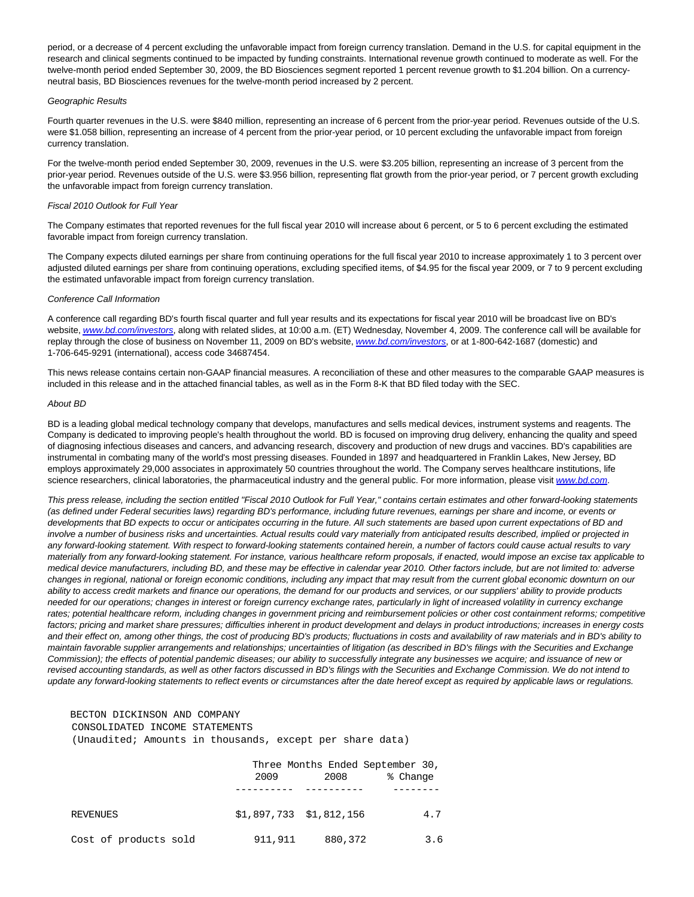period, or a decrease of 4 percent excluding the unfavorable impact from foreign currency translation. Demand in the U.S. for capital equipment in the research and clinical segments continued to be impacted by funding constraints. International revenue growth continued to moderate as well. For the twelve-month period ended September 30, 2009, the BD Biosciences segment reported 1 percent revenue growth to \$1.204 billion. On a currencyneutral basis, BD Biosciences revenues for the twelve-month period increased by 2 percent.

#### Geographic Results

Fourth quarter revenues in the U.S. were \$840 million, representing an increase of 6 percent from the prior-year period. Revenues outside of the U.S. were \$1.058 billion, representing an increase of 4 percent from the prior-year period, or 10 percent excluding the unfavorable impact from foreign currency translation.

For the twelve-month period ended September 30, 2009, revenues in the U.S. were \$3.205 billion, representing an increase of 3 percent from the prior-year period. Revenues outside of the U.S. were \$3.956 billion, representing flat growth from the prior-year period, or 7 percent growth excluding the unfavorable impact from foreign currency translation.

#### Fiscal 2010 Outlook for Full Year

The Company estimates that reported revenues for the full fiscal year 2010 will increase about 6 percent, or 5 to 6 percent excluding the estimated favorable impact from foreign currency translation.

The Company expects diluted earnings per share from continuing operations for the full fiscal year 2010 to increase approximately 1 to 3 percent over adjusted diluted earnings per share from continuing operations, excluding specified items, of \$4.95 for the fiscal year 2009, or 7 to 9 percent excluding the estimated unfavorable impact from foreign currency translation.

### Conference Call Information

A conference call regarding BD's fourth fiscal quarter and full year results and its expectations for fiscal year 2010 will be broadcast live on BD's website, [www.bd.com/investors](http://www.bd.com/investors), along with related slides, at 10:00 a.m. (ET) Wednesday, November 4, 2009. The conference call will be available for replay through the close of business on November 11, 2009 on BD's website, [www.bd.com/investors](http://www.bd.com/investors), or at 1-800-642-1687 (domestic) and 1-706-645-9291 (international), access code 34687454.

This news release contains certain non-GAAP financial measures. A reconciliation of these and other measures to the comparable GAAP measures is included in this release and in the attached financial tables, as well as in the Form 8-K that BD filed today with the SEC.

#### About BD

BD is a leading global medical technology company that develops, manufactures and sells medical devices, instrument systems and reagents. The Company is dedicated to improving people's health throughout the world. BD is focused on improving drug delivery, enhancing the quality and speed of diagnosing infectious diseases and cancers, and advancing research, discovery and production of new drugs and vaccines. BD's capabilities are instrumental in combating many of the world's most pressing diseases. Founded in 1897 and headquartered in Franklin Lakes, New Jersey, BD employs approximately 29,000 associates in approximately 50 countries throughout the world. The Company serves healthcare institutions, life science researchers, clinical laboratories, the pharmaceutical industry and the general public. For more information, please visit [www.bd.com](http://www.bd.com/).

This press release, including the section entitled "Fiscal 2010 Outlook for Full Year," contains certain estimates and other forward-looking statements (as defined under Federal securities laws) regarding BD's performance, including future revenues, earnings per share and income, or events or developments that BD expects to occur or anticipates occurring in the future. All such statements are based upon current expectations of BD and involve a number of business risks and uncertainties. Actual results could vary materially from anticipated results described, implied or projected in any forward-looking statement. With respect to forward-looking statements contained herein, a number of factors could cause actual results to vary materially from any forward-looking statement. For instance, various healthcare reform proposals, if enacted, would impose an excise tax applicable to medical device manufacturers, including BD, and these may be effective in calendar year 2010. Other factors include, but are not limited to: adverse changes in regional, national or foreign economic conditions, including any impact that may result from the current global economic downturn on our ability to access credit markets and finance our operations, the demand for our products and services, or our suppliers' ability to provide products needed for our operations; changes in interest or foreign currency exchange rates, particularly in light of increased volatility in currency exchange rates; potential healthcare reform, including changes in government pricing and reimbursement policies or other cost containment reforms; competitive factors; pricing and market share pressures; difficulties inherent in product development and delays in product introductions; increases in energy costs and their effect on, among other things, the cost of producing BD's products; fluctuations in costs and availability of raw materials and in BD's ability to maintain favorable supplier arrangements and relationships; uncertainties of litigation (as described in BD's filings with the Securities and Exchange Commission); the effects of potential pandemic diseases; our ability to successfully integrate any businesses we acquire; and issuance of new or revised accounting standards, as well as other factors discussed in BD's filings with the Securities and Exchange Commission. We do not intend to update any forward-looking statements to reflect events or circumstances after the date hereof except as required by applicable laws or regulations.

### BECTON DICKINSON AND COMPANY CONSOLIDATED INCOME STATEMENTS

(Unaudited; Amounts in thousands, except per share data)

|                       |         | Three Months Ended September 30, |          |
|-----------------------|---------|----------------------------------|----------|
|                       | 2009    | 2008                             | % Change |
|                       |         |                                  |          |
| REVENUES              |         | $$1,897,733$ $$1,812,156$        | 4.7      |
| Cost of products sold | 911,911 | 880,372                          | 3.6      |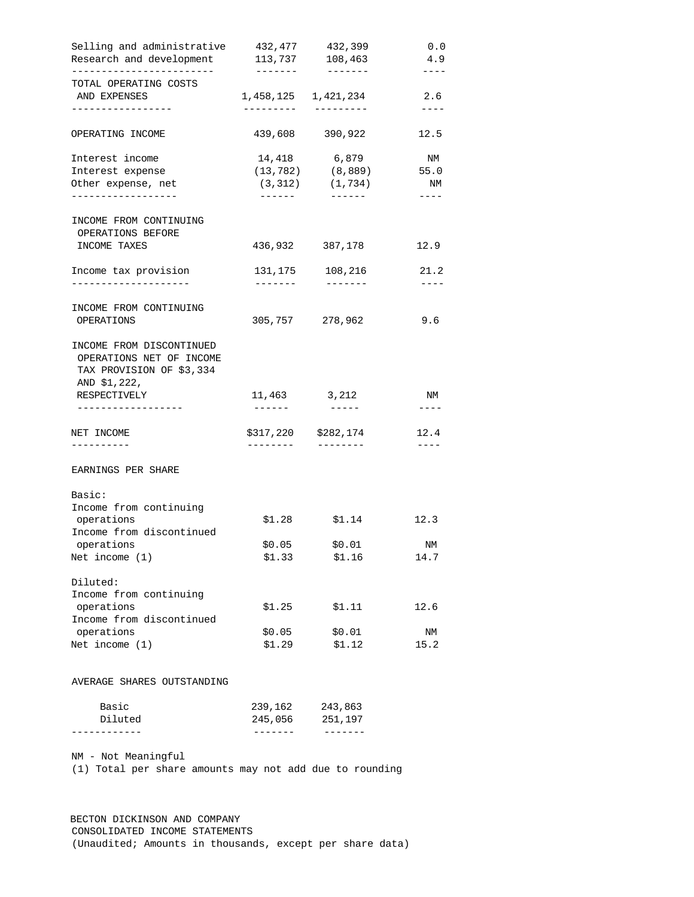| Selling and administrative<br>Research and development                                           | 432,477<br>113,737 | 432,399<br>108,463          | 0.0<br>4.9     |
|--------------------------------------------------------------------------------------------------|--------------------|-----------------------------|----------------|
| -------------------------<br>TOTAL OPERATING COSTS<br>AND EXPENSES                               |                    | 1,458,125 1,421,234         | $--- -$<br>2.6 |
|                                                                                                  | ---------          | ----------                  | $---$          |
| OPERATING INCOME                                                                                 |                    | 439,608 390,922             | 12.5           |
| Interest income                                                                                  |                    | 14,418 6,879                | NM             |
| Interest expense                                                                                 |                    | $(13, 782)$ $(8, 889)$ 55.0 |                |
| Other expense, net<br>. _ _ _ _ _ _ _ _ _ _ _ _ _                                                | -------            | $(3,312)$ $(1,734)$         | NM<br>----     |
|                                                                                                  |                    |                             |                |
| INCOME FROM CONTINUING                                                                           |                    |                             |                |
| OPERATIONS BEFORE                                                                                |                    |                             |                |
| INCOME TAXES                                                                                     |                    | 436,932 387,178             | 12.9           |
| Income tax provision                                                                             |                    | 131,175 108,216             | 21.2           |
| --------------------                                                                             | -------            | --------                    | $---$          |
| INCOME FROM CONTINUING                                                                           |                    |                             |                |
| OPERATIONS                                                                                       |                    | 305,757 278,962             | 9.6            |
| INCOME FROM DISCONTINUED<br>OPERATIONS NET OF INCOME<br>TAX PROVISION OF \$3,334<br>AND \$1,222, |                    |                             |                |
| RESPECTIVELY                                                                                     | 11,463 3,212       |                             | ΝM             |
| ------------------                                                                               |                    |                             | $- - - -$      |
| NET INCOME                                                                                       |                    | \$317,220 \$282,174         | 12.4           |
| ----------                                                                                       | --------           | $-- - - - - - -$            | $---$          |
| EARNINGS PER SHARE                                                                               |                    |                             |                |
| Basic:                                                                                           |                    |                             |                |
| Income from continuing                                                                           |                    |                             |                |
| operations                                                                                       | \$1.28             | \$1.14                      | 12.3           |
| Income from discontinued                                                                         |                    |                             |                |
| operations                                                                                       | \$0.05             | \$0.01                      | ΝM             |
| Net income (1)                                                                                   | \$1.33             | \$1.16                      | 14.7           |
| Diluted:                                                                                         |                    |                             |                |
| Income from continuing                                                                           |                    |                             |                |
| operations                                                                                       | \$1.25             | \$1.11                      | 12.6           |
| Income from discontinued                                                                         |                    |                             |                |
| operations                                                                                       | \$0.05             | \$0.01                      | ΝM             |
| Net income $(1)$                                                                                 | \$1.29             | \$1.12                      | 15.2           |
| AVERAGE SHARES OUTSTANDING                                                                       |                    |                             |                |
|                                                                                                  | 239,162            | 243,863                     |                |
|                                                                                                  |                    |                             |                |
| Basic<br>Diluted                                                                                 | 245,056            | 251,197                     |                |

 BECTON DICKINSON AND COMPANY CONSOLIDATED INCOME STATEMENTS (Unaudited; Amounts in thousands, except per share data)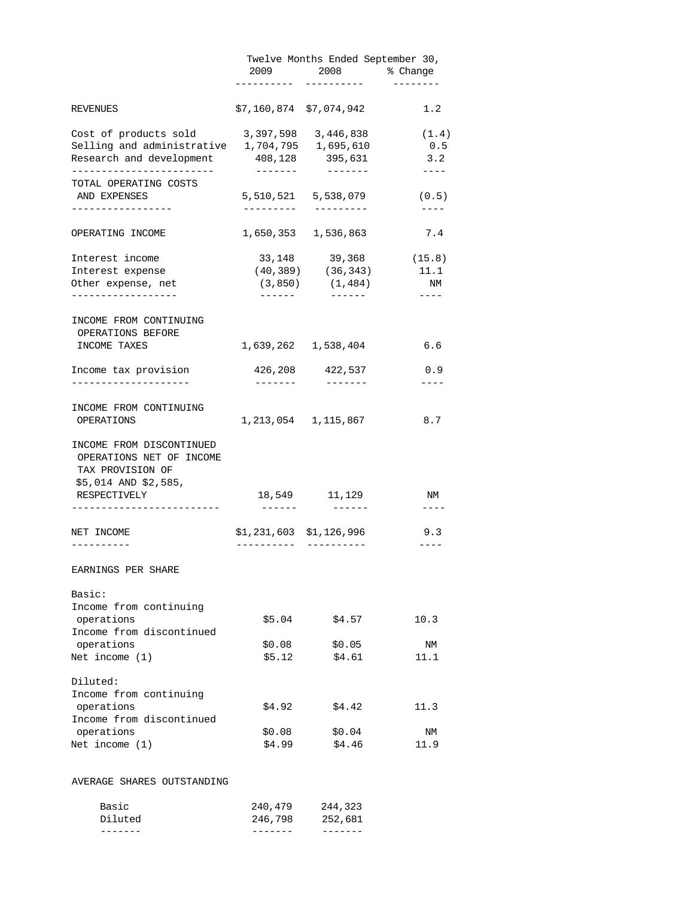|                                                                                                  | 2009                | 2008                                      | Twelve Months Ended September 30,<br>% Change                                                                                                                                                                                                                                                                                                                                                       |
|--------------------------------------------------------------------------------------------------|---------------------|-------------------------------------------|-----------------------------------------------------------------------------------------------------------------------------------------------------------------------------------------------------------------------------------------------------------------------------------------------------------------------------------------------------------------------------------------------------|
| REVENUES                                                                                         |                     | \$7,160,874 \$7,074,942                   | 1.2                                                                                                                                                                                                                                                                                                                                                                                                 |
| Cost of products sold                                                                            | 3,397,598           | 3,446,838                                 | (1.4)                                                                                                                                                                                                                                                                                                                                                                                               |
| Selling and administrative 1,704,795 1,695,610                                                   |                     |                                           | 0.5                                                                                                                                                                                                                                                                                                                                                                                                 |
| Research and development                                                                         | --------            | 408,128 395,631<br>--------               | 3.2<br>$\frac{1}{2} \frac{1}{2} \frac{1}{2} \frac{1}{2} \frac{1}{2} \frac{1}{2} \frac{1}{2} \frac{1}{2} \frac{1}{2} \frac{1}{2} \frac{1}{2} \frac{1}{2} \frac{1}{2} \frac{1}{2} \frac{1}{2} \frac{1}{2} \frac{1}{2} \frac{1}{2} \frac{1}{2} \frac{1}{2} \frac{1}{2} \frac{1}{2} \frac{1}{2} \frac{1}{2} \frac{1}{2} \frac{1}{2} \frac{1}{2} \frac{1}{2} \frac{1}{2} \frac{1}{2} \frac{1}{2} \frac{$ |
| TOTAL OPERATING COSTS                                                                            |                     |                                           |                                                                                                                                                                                                                                                                                                                                                                                                     |
| AND EXPENSES<br>----------------                                                                 | ---------           | 5,510,521 5,538,079<br>$-- - - - - - - -$ | (0.5)<br>$- - - -$                                                                                                                                                                                                                                                                                                                                                                                  |
| OPERATING INCOME                                                                                 |                     | 1,650,353 1,536,863                       | 7.4                                                                                                                                                                                                                                                                                                                                                                                                 |
|                                                                                                  |                     |                                           |                                                                                                                                                                                                                                                                                                                                                                                                     |
| Interest income                                                                                  | 33,148              | 39,368                                    | (15.8)                                                                                                                                                                                                                                                                                                                                                                                              |
| Interest expense                                                                                 |                     | $(40, 389)$ $(36, 343)$                   | 11.1                                                                                                                                                                                                                                                                                                                                                                                                |
| Other expense, net<br>. <u>.</u>                                                                 | (3, 850)<br>------- | (1, 484)                                  | NM<br>$- - - - -$                                                                                                                                                                                                                                                                                                                                                                                   |
| INCOME FROM CONTINUING                                                                           |                     |                                           |                                                                                                                                                                                                                                                                                                                                                                                                     |
| OPERATIONS BEFORE<br>INCOME TAXES                                                                |                     | 1,639,262 1,538,404                       | 6.6                                                                                                                                                                                                                                                                                                                                                                                                 |
|                                                                                                  |                     | 426,208 422,537                           | 0.9                                                                                                                                                                                                                                                                                                                                                                                                 |
| Income tax provision                                                                             | $-- - - - - -$      | $- - - - - - - -$                         |                                                                                                                                                                                                                                                                                                                                                                                                     |
| INCOME FROM CONTINUING                                                                           |                     |                                           |                                                                                                                                                                                                                                                                                                                                                                                                     |
| OPERATIONS                                                                                       |                     | 1,213,054 1,115,867                       | 8.7                                                                                                                                                                                                                                                                                                                                                                                                 |
| INCOME FROM DISCONTINUED<br>OPERATIONS NET OF INCOME<br>TAX PROVISION OF<br>\$5,014 AND \$2,585, |                     |                                           |                                                                                                                                                                                                                                                                                                                                                                                                     |
| RESPECTIVELY<br>------------------------                                                         | $- - - - - - -$     | 18,549 11,129<br>. <b>.</b>               | NM<br>$---$                                                                                                                                                                                                                                                                                                                                                                                         |
| NET INCOME                                                                                       |                     | $$1,231,603$ $$1,126,996$                 | 9.3                                                                                                                                                                                                                                                                                                                                                                                                 |
| ----------                                                                                       | -----------         | ----------                                | $- - - -$                                                                                                                                                                                                                                                                                                                                                                                           |
| EARNINGS PER SHARE                                                                               |                     |                                           |                                                                                                                                                                                                                                                                                                                                                                                                     |
| Basic:                                                                                           |                     |                                           |                                                                                                                                                                                                                                                                                                                                                                                                     |
| Income from continuing                                                                           |                     |                                           |                                                                                                                                                                                                                                                                                                                                                                                                     |
| operations                                                                                       | \$5.04              | \$4.57                                    | 10.3                                                                                                                                                                                                                                                                                                                                                                                                |
| Income from discontinued<br>operations                                                           |                     |                                           | ΝM                                                                                                                                                                                                                                                                                                                                                                                                  |
| Net income $(1)$                                                                                 | \$0.08<br>\$5.12    | \$0.05<br>\$4.61                          | 11.1                                                                                                                                                                                                                                                                                                                                                                                                |
|                                                                                                  |                     |                                           |                                                                                                                                                                                                                                                                                                                                                                                                     |
| Diluted:<br>Income from continuing                                                               |                     |                                           |                                                                                                                                                                                                                                                                                                                                                                                                     |
|                                                                                                  | \$4.92              | \$4.42                                    | 11.3                                                                                                                                                                                                                                                                                                                                                                                                |
| operations                                                                                       |                     |                                           |                                                                                                                                                                                                                                                                                                                                                                                                     |
| Income from discontinued                                                                         |                     |                                           |                                                                                                                                                                                                                                                                                                                                                                                                     |
| operations<br>Net income $(1)$                                                                   | \$0.08<br>\$4.99    | \$0.04<br>\$4.46                          | ΝM<br>11.9                                                                                                                                                                                                                                                                                                                                                                                          |

| Diluted | 246,798 | 252,681 |
|---------|---------|---------|
| Basic   | 240,479 | 244,323 |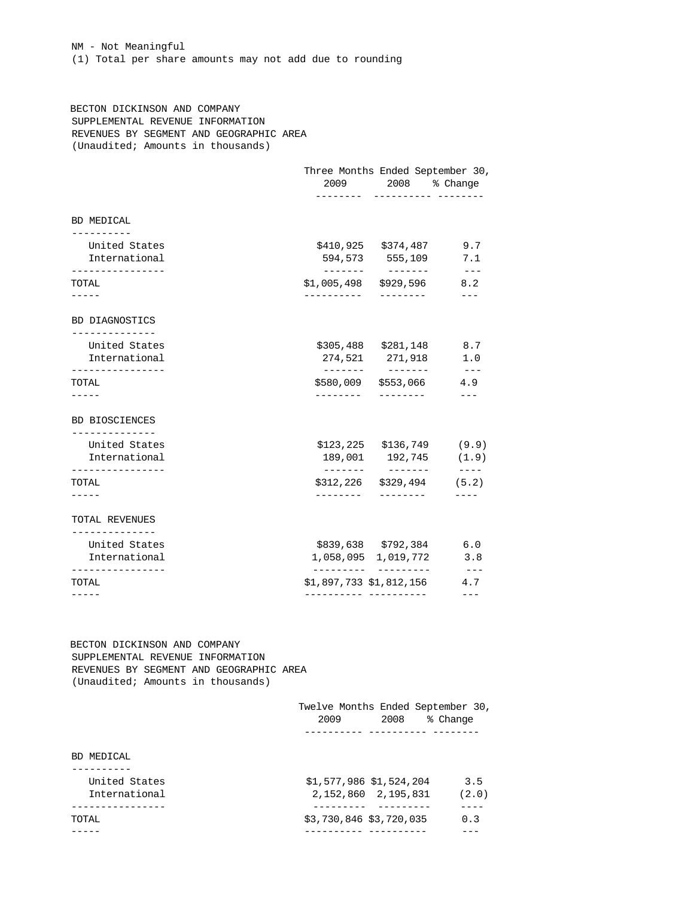NM - Not Meaningful (1) Total per share amounts may not add due to rounding

 BECTON DICKINSON AND COMPANY SUPPLEMENTAL REVENUE INFORMATION REVENUES BY SEGMENT AND GEOGRAPHIC AREA (Unaudited; Amounts in thousands)

|             |                                  | 9.7<br>7.1                                                                                                                                                                                                                                                                                                                                                                                                                                |
|-------------|----------------------------------|-------------------------------------------------------------------------------------------------------------------------------------------------------------------------------------------------------------------------------------------------------------------------------------------------------------------------------------------------------------------------------------------------------------------------------------------|
| ----------- |                                  | $---$<br>8.2                                                                                                                                                                                                                                                                                                                                                                                                                              |
|             |                                  |                                                                                                                                                                                                                                                                                                                                                                                                                                           |
|             |                                  | 8.7<br>1.0                                                                                                                                                                                                                                                                                                                                                                                                                                |
| ---------   |                                  | $- - -$<br>4.9<br>$---$                                                                                                                                                                                                                                                                                                                                                                                                                   |
|             |                                  |                                                                                                                                                                                                                                                                                                                                                                                                                                           |
|             |                                  |                                                                                                                                                                                                                                                                                                                                                                                                                                           |
| ---------   |                                  | $- - - - -$                                                                                                                                                                                                                                                                                                                                                                                                                               |
|             |                                  |                                                                                                                                                                                                                                                                                                                                                                                                                                           |
|             |                                  | 6.0<br>3.8                                                                                                                                                                                                                                                                                                                                                                                                                                |
|             |                                  | $  -$<br>4.7<br>$---$                                                                                                                                                                                                                                                                                                                                                                                                                     |
|             | --------<br>--------<br>-------- | Three Months Ended September 30,<br>2009 2008 % Change<br>----------- --------<br>\$410,925 \$374,487<br>594,573 555,109<br>\$1,005,498 \$929,596<br>---------<br>\$305,488 \$281,148<br>274,521 271,918<br>________<br>\$580,009 \$553,066<br>---------<br>$$123, 225$ $$136, 749$ (9.9)<br>189,001 192,745 (1.9)<br>$$312, 226$ $$329, 494$ (5.2)<br>---------<br>\$839,638 \$792,384<br>1,058,095 1,019,772<br>\$1,897,733 \$1,812,156 |

 BECTON DICKINSON AND COMPANY SUPPLEMENTAL REVENUE INFORMATION REVENUES BY SEGMENT AND GEOGRAPHIC AREA (Unaudited; Amounts in thousands)

|               | Twelve Months Ended September 30,<br>2009<br>2008 | % Change |
|---------------|---------------------------------------------------|----------|
| BD MEDICAL    |                                                   |          |
|               |                                                   |          |
| United States | \$1,577,986 \$1,524,204                           | 3.5      |
| International | 2, 152, 860 2, 195, 831                           | (2.0)    |
|               |                                                   |          |
| TOTAL         | \$3,730,846 \$3,720,035                           | 0.3      |
|               |                                                   |          |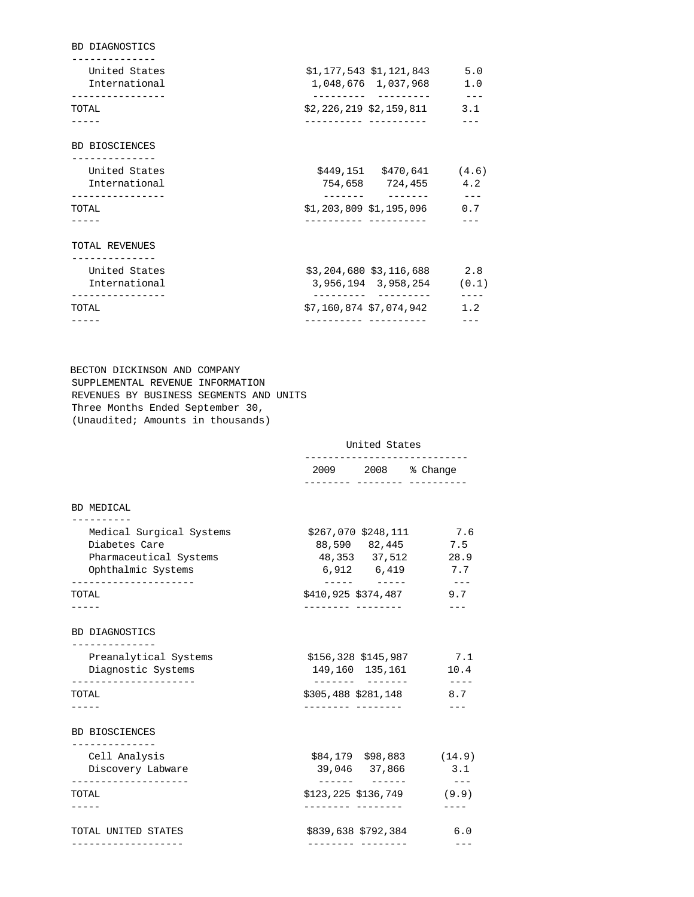| <b>BD DIAGNOSTICS</b>          |                                                      |              |
|--------------------------------|------------------------------------------------------|--------------|
| United States<br>International | \$1,177,543 \$1,121,843<br>1,048,676 1,037,968       | 5.0<br>1.0   |
| TOTAL                          | \$2,226,219 \$2,159,811                              | $---$<br>3.1 |
| <b>BD BIOSCIENCES</b>          |                                                      |              |
| United States<br>International | $$449,151$ $$470,641$ (4.6)<br>754,658 724,455       | 4.2          |
| TOTAL                          | $$1,203,809$ $$1,195,096$                            | $---$<br>0.7 |
| TOTAL REVENUES                 |                                                      |              |
| United States<br>International | $$3,204,680$ $$3,116,688$ 2.8<br>3,956,194 3,958,254 | (0.1)        |
| TOTAL                          | \$7,160,874 \$7,074,942                              | 1.2          |
|                                | ----------- -------                                  |              |

 BECTON DICKINSON AND COMPANY SUPPLEMENTAL REVENUE INFORMATION REVENUES BY BUSINESS SEGMENTS AND UNITS Three Months Ended September 30, (Unaudited; Amounts in thousands)

#### United States

|                                                                                           | 2009 2008 % Change<br>-------- -------- ---------                          |                            |  |
|-------------------------------------------------------------------------------------------|----------------------------------------------------------------------------|----------------------------|--|
| BD MEDICAL                                                                                |                                                                            |                            |  |
| Medical Surgical Systems<br>Diabetes Care<br>Pharmaceutical Systems<br>Ophthalmic Systems | $$267,070$ $$248,111$ 7.6<br>88,590 82,445<br>48,353 37,512<br>6,912 6,419 | 7.5<br>28.9<br>7.7<br>---- |  |
| TOTAL                                                                                     | \$410,925 \$374,487<br>__________________                                  | 9.7                        |  |
| BD DIAGNOSTICS                                                                            |                                                                            |                            |  |
| ------------<br>Preanalytical Systems<br>Diagnostic Systems                               | \$156,328 \$145,987 7.1<br>149,160 135,161                                 | 10.4<br>$- - - - -$        |  |
| TOTAL                                                                                     | \$305,488 \$281,148<br>--------- --------                                  | 8.7                        |  |
| BD BIOSCIENCES                                                                            |                                                                            |                            |  |
| ______________<br>Cell Analysis<br>Discovery Labware                                      | $$84,179$ $$98,883$ (14.9)<br>39,046 37,866                                | 3.1                        |  |
| . <u>.</u><br>TOTAL                                                                       | -------<br>-------<br>\$123,225 \$136,749<br>--------- --------            | $- - -$<br>(9.9)           |  |
| TOTAL UNITED STATES                                                                       | \$839,638 \$792,384                                                        | 6.0                        |  |
|                                                                                           | . <u>.</u>                                                                 | $- - -$                    |  |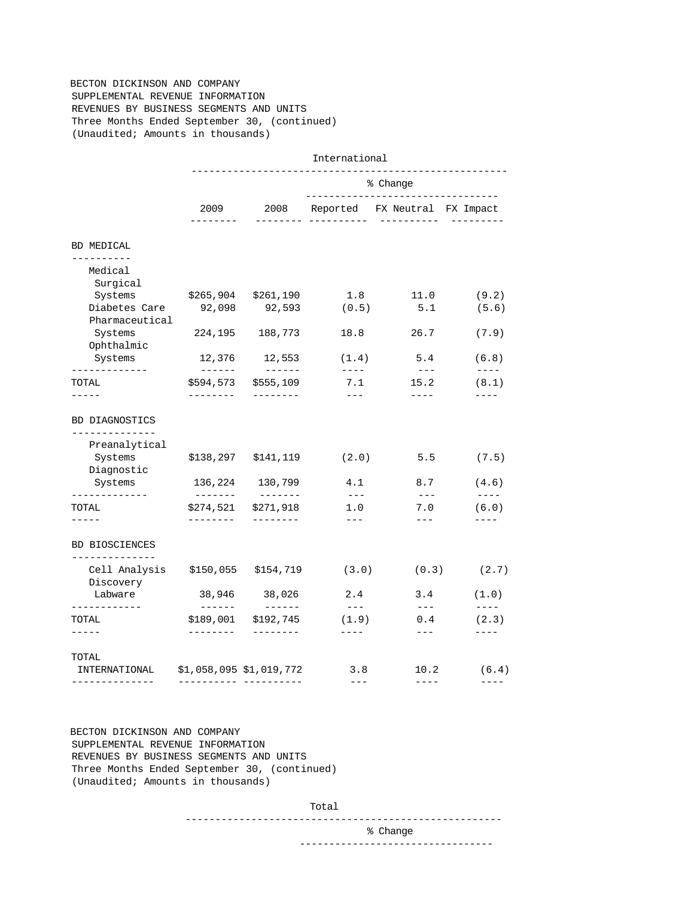# BECTON DICKINSON AND COMPANY SUPPLEMENTAL REVENUE INFORMATION REVENUES BY BUSINESS SEGMENTS AND UNITS Three Months Ended September 30, (continued) (Unaudited; Amounts in thousands)

|                                                   |                                                                                                                                                                                                                                                                                                                                                                                                                                                                                                  |                                                | International                   |                                                                                                                                                                                                                                                                                                                                                                                                              |                                                           |  |
|---------------------------------------------------|--------------------------------------------------------------------------------------------------------------------------------------------------------------------------------------------------------------------------------------------------------------------------------------------------------------------------------------------------------------------------------------------------------------------------------------------------------------------------------------------------|------------------------------------------------|---------------------------------|--------------------------------------------------------------------------------------------------------------------------------------------------------------------------------------------------------------------------------------------------------------------------------------------------------------------------------------------------------------------------------------------------------------|-----------------------------------------------------------|--|
|                                                   |                                                                                                                                                                                                                                                                                                                                                                                                                                                                                                  | % Change<br>---------------------------------- |                                 |                                                                                                                                                                                                                                                                                                                                                                                                              |                                                           |  |
|                                                   | 2009<br>--------                                                                                                                                                                                                                                                                                                                                                                                                                                                                                 | 2008                                           | _____________________           | Reported FX Neutral FX Impact<br>___________                                                                                                                                                                                                                                                                                                                                                                 | ----------                                                |  |
| BD MEDICAL                                        |                                                                                                                                                                                                                                                                                                                                                                                                                                                                                                  |                                                |                                 |                                                                                                                                                                                                                                                                                                                                                                                                              |                                                           |  |
| ----------<br>Medical<br>Surgical                 |                                                                                                                                                                                                                                                                                                                                                                                                                                                                                                  |                                                |                                 |                                                                                                                                                                                                                                                                                                                                                                                                              |                                                           |  |
| Systems<br>Diabetes Care<br>Pharmaceutical        | \$265,904<br>92,098                                                                                                                                                                                                                                                                                                                                                                                                                                                                              | \$261,190<br>92,593                            | 1.8<br>(0.5)                    | 11.0<br>5.1                                                                                                                                                                                                                                                                                                                                                                                                  | (9.2)<br>(5.6)                                            |  |
| Systems<br>Ophthalmic                             | 224,195                                                                                                                                                                                                                                                                                                                                                                                                                                                                                          | 188,773                                        | 18.8                            | 26.7                                                                                                                                                                                                                                                                                                                                                                                                         | (7.9)                                                     |  |
| Systems<br>-------------                          | 12,376                                                                                                                                                                                                                                                                                                                                                                                                                                                                                           | 12,553                                         | (1.4)<br>$\qquad \qquad - - -$  | 5.4<br>$   -$                                                                                                                                                                                                                                                                                                                                                                                                | (6.8)<br>$- - - -$                                        |  |
| TOTAL                                             |                                                                                                                                                                                                                                                                                                                                                                                                                                                                                                  | \$594,573 \$555,109                            | 7.1                             | 15.2                                                                                                                                                                                                                                                                                                                                                                                                         | (8.1)                                                     |  |
| Preanalytical<br>Systems<br>Diagnostic<br>Systems |                                                                                                                                                                                                                                                                                                                                                                                                                                                                                                  | $$138, 297$ $$141, 119$<br>136,224 130,799     | (2.0)<br>4.1                    | 5.5<br>8.7                                                                                                                                                                                                                                                                                                                                                                                                   | (7.5)<br>(4.6)                                            |  |
| -------------                                     | --------                                                                                                                                                                                                                                                                                                                                                                                                                                                                                         |                                                | $--\,$ $-$                      | $  -$                                                                                                                                                                                                                                                                                                                                                                                                        |                                                           |  |
| TOTAL                                             | \$274,521                                                                                                                                                                                                                                                                                                                                                                                                                                                                                        | \$271,918                                      | 1.0                             | 7.0                                                                                                                                                                                                                                                                                                                                                                                                          |                                                           |  |
| -----<br><b>BD BIOSCIENCES</b>                    | --------                                                                                                                                                                                                                                                                                                                                                                                                                                                                                         | --------                                       | $\qquad \qquad - -$             | $\qquad \qquad - -$                                                                                                                                                                                                                                                                                                                                                                                          | $\frac{1}{2}$<br>(6.0)<br>$- - - -$                       |  |
| --------------<br>Cell Analysis<br>Discovery      | \$150,055                                                                                                                                                                                                                                                                                                                                                                                                                                                                                        | \$154,719                                      | (3.0)                           | (0.3)                                                                                                                                                                                                                                                                                                                                                                                                        |                                                           |  |
| Labware                                           |                                                                                                                                                                                                                                                                                                                                                                                                                                                                                                  | 38,946 38,026                                  | 2.4                             | 3.4                                                                                                                                                                                                                                                                                                                                                                                                          | (2.7)<br>(1.0)                                            |  |
| ------------<br>TOTAL<br>-----                    | $\begin{tabular}{cccccc} \multicolumn{2}{c}{} & \multicolumn{2}{c}{} & \multicolumn{2}{c}{} & \multicolumn{2}{c}{} & \multicolumn{2}{c}{} & \multicolumn{2}{c}{} & \multicolumn{2}{c}{} & \multicolumn{2}{c}{} & \multicolumn{2}{c}{} & \multicolumn{2}{c}{} & \multicolumn{2}{c}{} & \multicolumn{2}{c}{} & \multicolumn{2}{c}{} & \multicolumn{2}{c}{} & \multicolumn{2}{c}{} & \multicolumn{2}{c}{} & \multicolumn{2}{c}{} & \multicolumn{2}{c}{} & \multicolumn{2}{c}{} & \mult$<br>-------- | \$189,001 \$192,745<br>---------               | $   \,$<br>(1.9)<br>$- - - - -$ | $---$<br>0.4<br>$\frac{1}{2} \frac{1}{2} \frac{1}{2} \frac{1}{2} \frac{1}{2} \frac{1}{2} \frac{1}{2} \frac{1}{2} \frac{1}{2} \frac{1}{2} \frac{1}{2} \frac{1}{2} \frac{1}{2} \frac{1}{2} \frac{1}{2} \frac{1}{2} \frac{1}{2} \frac{1}{2} \frac{1}{2} \frac{1}{2} \frac{1}{2} \frac{1}{2} \frac{1}{2} \frac{1}{2} \frac{1}{2} \frac{1}{2} \frac{1}{2} \frac{1}{2} \frac{1}{2} \frac{1}{2} \frac{1}{2} \frac{$ | $\qquad \qquad - - -$<br>(2.3)<br>$\qquad \qquad - - - -$ |  |

 BECTON DICKINSON AND COMPANY SUPPLEMENTAL REVENUE INFORMATION REVENUES BY BUSINESS SEGMENTS AND UNITS Three Months Ended September 30, (continued) (Unaudited; Amounts in thousands)

Total

-----------------------------------------------------

% Change

---------------------------------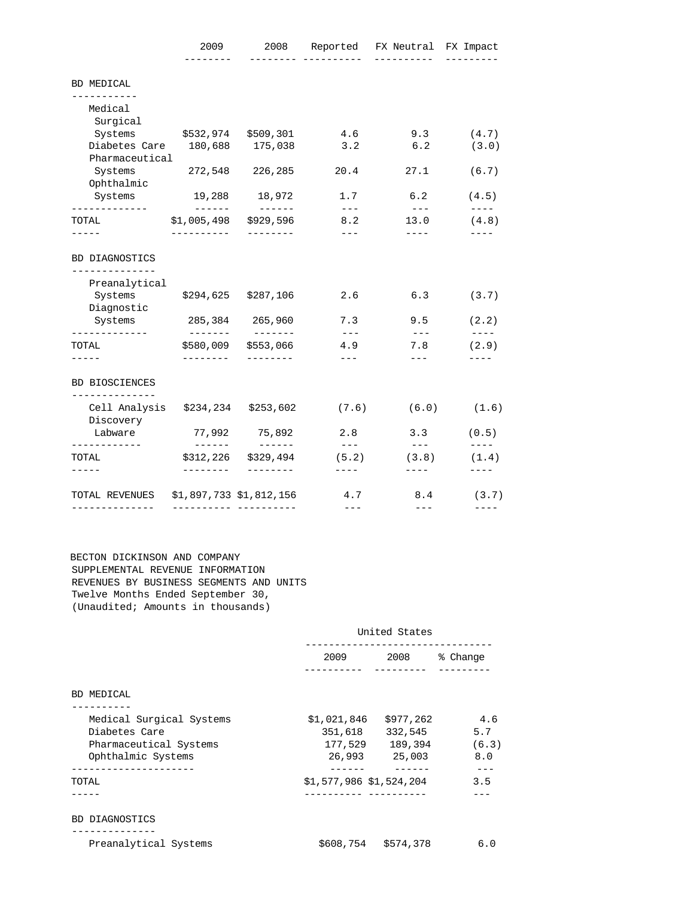|                                         | 2009                       |                        | --------- ---------- | 2008 Reported FX Neutral FX Impact<br>----------- |                                  |
|-----------------------------------------|----------------------------|------------------------|----------------------|---------------------------------------------------|----------------------------------|
| BD MEDICAL                              |                            |                        |                      |                                                   |                                  |
| ----------<br>Medical                   |                            |                        |                      |                                                   |                                  |
| Surgical                                |                            |                        |                      |                                                   |                                  |
| Systems \$532,974 \$509,301             |                            |                        | 4.6                  | 9.3                                               | (4.7)                            |
| Diabetes Care 180,688 175,038           |                            |                        | 3.2                  | 6.2                                               | (3.0)                            |
| Pharmaceutical                          |                            |                        |                      |                                                   |                                  |
| Systems 272,548<br>Ophthalmic           |                            | 226,285                | 20.4                 | 27.1                                              | (6.7)                            |
| Systems<br>-------------                | 19,288 18,972<br>_________ | ________               | 1.7<br>$   \,$       | 6.2<br>$  -$                                      | (4.5)<br>$\qquad \qquad - - - -$ |
| TOTAL                                   | \$1,005,498                | \$929,596              | 8.2                  | 13.0                                              | (4.8)                            |
|                                         | ----------                 | ---------              | $\qquad \qquad - -$  | $---$                                             |                                  |
| BD DIAGNOSTICS<br>-------------         |                            |                        |                      |                                                   |                                  |
| Preanalytical                           |                            |                        |                      |                                                   |                                  |
| Systems                                 | \$294,625                  | \$287,106              | 2.6                  | 6.3                                               | (3.7)                            |
| Diagnostic<br>Systems                   |                            | 285,384 265,960        | 7.3                  | 9.5                                               | (2.2)                            |
| -------------<br>TOTAL                  | ________<br>\$580,009      | --------<br>\$553,066  | $  -$<br>4.9         | $   \,$<br>7.8                                    | $\qquad \qquad - - - -$<br>(2.9) |
|                                         | --------                   | ---------              | $---$                | $---$                                             |                                  |
| <b>BD BIOSCIENCES</b><br>-------------- |                            |                        |                      |                                                   |                                  |
| Cell Analysis<br>Discovery              | \$234,234                  | \$253,602              | (7.6)                | (6.0)                                             | (1.6)                            |
| Labware                                 | 77,992<br>--------         | 75,892<br>-------      | 2.8<br>$- - -$       | 3.3<br>$- - - -$                                  | (0.5)<br>$- - - - -$             |
|                                         |                            |                        |                      |                                                   |                                  |
| ------------<br>TOTAL<br>-----          | \$312,226<br>--------      | \$329,494<br>--------- | (5.2)<br>$- - - - -$ | (3.8)<br>$- - - -$                                | (1.4)<br>$- - - - -$             |

 BECTON DICKINSON AND COMPANY SUPPLEMENTAL REVENUE INFORMATION REVENUES BY BUSINESS SEGMENTS AND UNITS Twelve Months Ended September 30, (Unaudited; Amounts in thousands)

|                          | United States                                                                                                       |                     |               |  |
|--------------------------|---------------------------------------------------------------------------------------------------------------------|---------------------|---------------|--|
|                          | 2009 — 2009 — 2009 — 2009 — 2009 — 2009 — 2009 — 2009 — 2009 — 2009 — 2009 — 2009 — 2009 — 2009 — 2009 — 2009 — 200 |                     | 2008 % Change |  |
|                          |                                                                                                                     |                     |               |  |
| BD MEDICAL               |                                                                                                                     |                     |               |  |
| Medical Surgical Systems | \$1,021,846                                                                                                         | \$977,262           | 4.6           |  |
| Diabetes Care            | 351,618                                                                                                             | 332,545             | 5.7           |  |
| Pharmaceutical Systems   | 177,529                                                                                                             | 189,394             | (6.3)         |  |
| Ophthalmic Systems       | 26,993                                                                                                              | 25,003              | 8.0           |  |
|                          |                                                                                                                     |                     | 3.5           |  |
| TOTAL                    | \$1,577,986 \$1,524,204                                                                                             |                     |               |  |
| <b>BD DIAGNOSTICS</b>    |                                                                                                                     |                     |               |  |
| Preanalytical Systems    |                                                                                                                     | \$608,754 \$574,378 | 6.0           |  |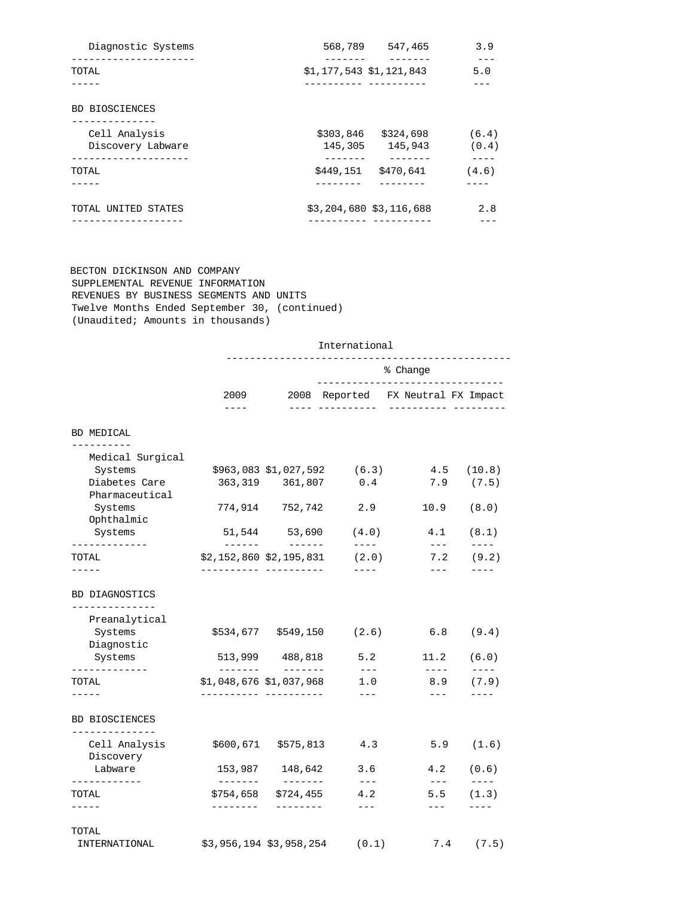| 568,789 547,465                           | 3.9            |
|-------------------------------------------|----------------|
| \$1,177,543 \$1,121,843                   | 5.0            |
|                                           |                |
|                                           |                |
| \$303,846<br>\$324,698<br>145,305 145,943 | (6.4)<br>(0.4) |
| \$449,151<br>\$470,641                    | (4.6)          |
| \$3,204,680 \$3,116,688                   | 2.8            |
|                                           |                |

 BECTON DICKINSON AND COMPANY SUPPLEMENTAL REVENUE INFORMATION REVENUES BY BUSINESS SEGMENTS AND UNITS Twelve Months Ended September 30, (continued) (Unaudited; Amounts in thousands)

|                                         | International             |                                    |                                                |                                                        |                        |  |
|-----------------------------------------|---------------------------|------------------------------------|------------------------------------------------|--------------------------------------------------------|------------------------|--|
|                                         |                           |                                    | % Change<br>---------------------------------- |                                                        |                        |  |
|                                         | 2009<br>$- - - -$         | 2008                               | _____ ___________                              | Reported FX Neutral FX Impact<br>----------- --------- |                        |  |
| BD MEDICAL                              |                           |                                    |                                                |                                                        |                        |  |
| -----------<br>Medical Surgical         |                           |                                    |                                                |                                                        |                        |  |
| Systems                                 |                           | \$963,083 \$1,027,592              | (6.3)                                          | 4.5                                                    | (10.8)                 |  |
| Diabetes Care                           |                           | 363,319 361,807                    | 0.4                                            | 7.9                                                    | (7.5)                  |  |
| Pharmaceutical                          |                           |                                    |                                                |                                                        |                        |  |
| Systems                                 |                           | 774,914 752,742                    | 2.9                                            | 10.9                                                   | (8.0)                  |  |
| Ophthalmic<br>Systems                   |                           | 51,544 53,690                      | (4.0)                                          | 4.1                                                    | (8.1)                  |  |
| -------------                           | -------                   |                                    | $- - - - -$                                    | $- - -$                                                | $---$                  |  |
| TOTAL                                   | \$2,152,860 \$2,195,831   |                                    | (2.0)                                          | 7.2                                                    | (9.2)                  |  |
| Preanalytical<br>Systems<br>Diagnostic  |                           | \$534,677 \$549,150                | (2.6)                                          | 6.8                                                    | (9.4)                  |  |
| Systems<br>-------------                | $- - - - - - -$           | 513,999 488,818<br>$- - - - - - -$ | 5.2<br>$   \,$                                 | 11.2<br>$- - - -$                                      | (6.0)<br>$- - - - -$   |  |
| TOTAL                                   | $$1,048,676$ $$1,037,968$ |                                    | 1.0                                            | 8.9                                                    | (7.9)                  |  |
| -----                                   |                           |                                    | $---$                                          | $---$                                                  |                        |  |
| <b>BD BIOSCIENCES</b><br>______________ |                           |                                    |                                                |                                                        |                        |  |
| Cell Analysis<br>Discovery              |                           | \$600,671 \$575,813                | 4.3                                            | 5.9                                                    | (1.6)                  |  |
| Labware<br>____________                 | 153,987<br>-------        | 148,642                            | 3.6<br>$\frac{1}{2}$                           | 4.2<br>$\frac{1}{2}$                                   | (0.6)<br>$\frac{1}{2}$ |  |
|                                         | \$754,658                 | \$724,455                          | 4.2                                            | 5.5                                                    | (1.3)                  |  |
| TOTAL<br>-----<br>TOTAL                 | --------                  | --------                           | $- - -$                                        | $---$                                                  |                        |  |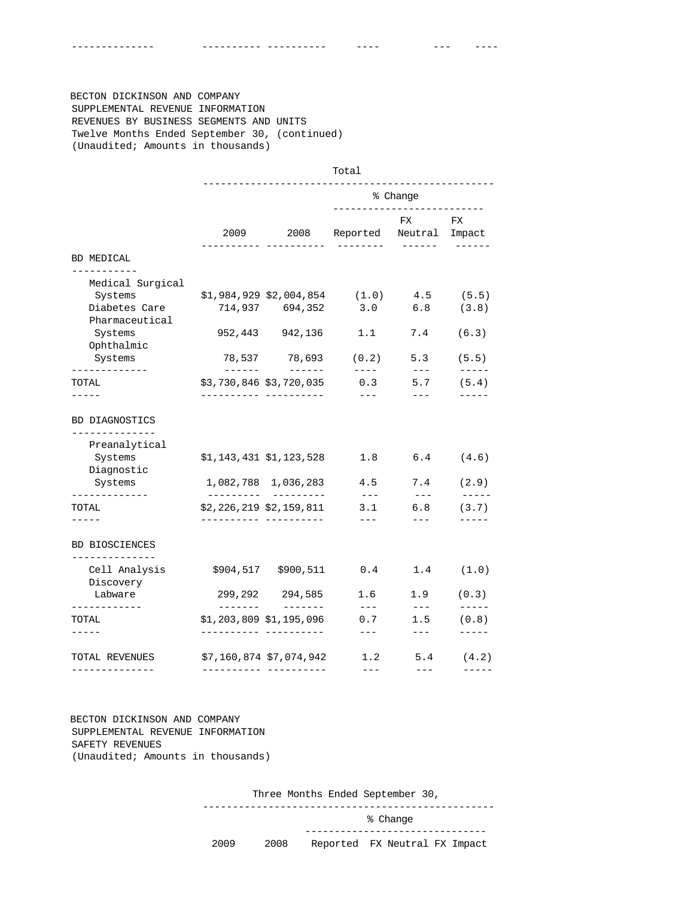-------------- ---------- ---------- ---- --- ----

 BECTON DICKINSON AND COMPANY SUPPLEMENTAL REVENUE INFORMATION REVENUES BY BUSINESS SEGMENTS AND UNITS Twelve Months Ended September 30, (continued) (Unaudited; Amounts in thousands)

|                                         | Total                                                                                                               |                           |                                        |                                                                                                                                                                                                                                                                                                                                                                                              |                               |
|-----------------------------------------|---------------------------------------------------------------------------------------------------------------------|---------------------------|----------------------------------------|----------------------------------------------------------------------------------------------------------------------------------------------------------------------------------------------------------------------------------------------------------------------------------------------------------------------------------------------------------------------------------------------|-------------------------------|
|                                         |                                                                                                                     |                           | % Change<br>-------------------------- |                                                                                                                                                                                                                                                                                                                                                                                              |                               |
|                                         | 2009 — 2009 — 2009 — 2009 — 2009 — 2009 — 2009 — 2009 — 2009 — 2009 — 2009 — 2009 — 2009 — 2009 — 2009 — 2009 — 200 |                           | 2008 Reported Neutral Impact           | FX                                                                                                                                                                                                                                                                                                                                                                                           | $\mathop{\rm FX}\nolimits$    |
| BD MEDICAL                              |                                                                                                                     | ----------                | --------                               |                                                                                                                                                                                                                                                                                                                                                                                              | $- - - - - - -$               |
| -----------<br>Medical Surgical         |                                                                                                                     |                           |                                        |                                                                                                                                                                                                                                                                                                                                                                                              |                               |
| Systems                                 |                                                                                                                     | \$1,984,929 \$2,004,854   | (1.0)                                  | 4.5                                                                                                                                                                                                                                                                                                                                                                                          | (5.5)                         |
| Diabetes Care                           |                                                                                                                     | 714,937 694,352           | 3.0                                    | 6.8                                                                                                                                                                                                                                                                                                                                                                                          | (3.8)                         |
| Pharmaceutical                          |                                                                                                                     |                           |                                        |                                                                                                                                                                                                                                                                                                                                                                                              |                               |
| Systems                                 |                                                                                                                     | 952,443 942,136           | 1.1                                    | 7.4                                                                                                                                                                                                                                                                                                                                                                                          | (6.3)                         |
| Ophthalmic                              |                                                                                                                     |                           |                                        |                                                                                                                                                                                                                                                                                                                                                                                              |                               |
| Systems                                 |                                                                                                                     | 78,537 78,693             | (0.2)                                  | 5.3                                                                                                                                                                                                                                                                                                                                                                                          | (5.5)                         |
| -------------<br>TOTAL                  |                                                                                                                     | \$3,730,846 \$3,720,035   | $- - - - -$<br>0.3                     | $\qquad \qquad - -$<br>5.7                                                                                                                                                                                                                                                                                                                                                                   | $- - - - - -$<br>(5.4)        |
| $- - - - -$                             |                                                                                                                     |                           | $  -$                                  | $\frac{1}{2} \frac{1}{2} \frac{1}{2} \frac{1}{2} \frac{1}{2} \frac{1}{2} \frac{1}{2} \frac{1}{2} \frac{1}{2} \frac{1}{2} \frac{1}{2} \frac{1}{2} \frac{1}{2} \frac{1}{2} \frac{1}{2} \frac{1}{2} \frac{1}{2} \frac{1}{2} \frac{1}{2} \frac{1}{2} \frac{1}{2} \frac{1}{2} \frac{1}{2} \frac{1}{2} \frac{1}{2} \frac{1}{2} \frac{1}{2} \frac{1}{2} \frac{1}{2} \frac{1}{2} \frac{1}{2} \frac{$ | -----                         |
| Preanalytical<br>Systems                |                                                                                                                     | \$1,143,431 \$1,123,528   | 1.8                                    | 6.4                                                                                                                                                                                                                                                                                                                                                                                          | (4.6)                         |
| Diagnostic<br>Systems                   |                                                                                                                     | 1,082,788 1,036,283       | 4.5                                    | 7.4                                                                                                                                                                                                                                                                                                                                                                                          | (2.9)                         |
| -------------<br>TOTAL<br>-----         |                                                                                                                     | \$2,226,219 \$2,159,811   | $\sim$ $\sim$ $\sim$<br>3.1            | $\sim$ $\sim$ $\sim$<br>6.8                                                                                                                                                                                                                                                                                                                                                                  | $- - - - - -$<br>(3.7)        |
| <b>BD BIOSCIENCES</b><br>-------------- |                                                                                                                     | _________________________ | $---$                                  | $---$                                                                                                                                                                                                                                                                                                                                                                                        |                               |
| Cell Analysis<br>Discovery              |                                                                                                                     | \$904,517 \$900,511       | 0.4                                    | 1.4                                                                                                                                                                                                                                                                                                                                                                                          | (1.0)                         |
| Labware                                 |                                                                                                                     | 299, 292 294, 585         | 1.6                                    | 1.9                                                                                                                                                                                                                                                                                                                                                                                          | (0.3)                         |
| -----------<br>TOTAL<br>$- - - - - -$   | -------                                                                                                             | $$1,203,809$ $$1,195,096$ | $---$<br>0.7<br>$---$                  | $--\,$<br>1.5<br>$---$                                                                                                                                                                                                                                                                                                                                                                       | $- - - - -$<br>(0.8)<br>----- |
| TOTAL REVENUES                          |                                                                                                                     | \$7,160,874 \$7,074,942   | 1.2                                    | 5.4                                                                                                                                                                                                                                                                                                                                                                                          | (4.2)                         |
| --------------                          |                                                                                                                     | ---------- ----------     | $- - -$                                | $---$                                                                                                                                                                                                                                                                                                                                                                                        | -----                         |

 BECTON DICKINSON AND COMPANY SUPPLEMENTAL REVENUE INFORMATION SAFETY REVENUES (Unaudited; Amounts in thousands)

Three Months Ended September 30,

-------------------------------------------------

% Change

# -------------------------------2009 2008 Reported FX Neutral FX Impact